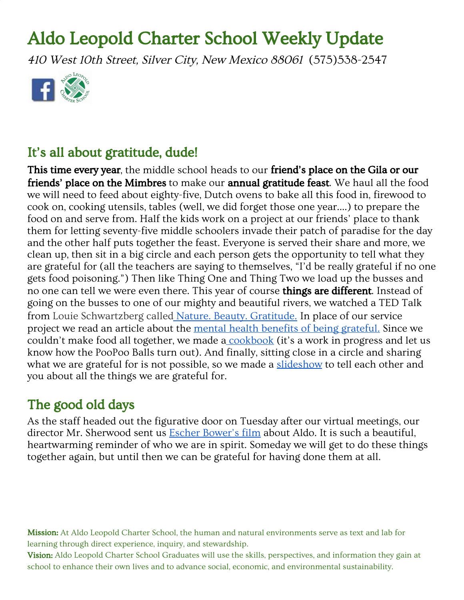# Aldo Leopold Charter School Weekly Update

<sup>410</sup> West 10th Street, Silver City, New Mexico <sup>88061</sup> (575)538-2547



### It's all about gratitude, dude!

This time every year, the middle school heads to our friend's place on the Gila or our friends' place on the Mimbres to make our annual gratitude feast. We haul all the food we will need to feed about eighty-five, Dutch ovens to bake all this food in, firewood to cook on, cooking utensils, tables (well, we did forget those one year....) to prepare the food on and serve from. Half the kids work on a project at our friends' place to thank them for letting seventy-five middle schoolers invade their patch of paradise for the day and the other half puts together the feast. Everyone is served their share and more, we clean up, then sit in a big circle and each person gets the opportunity to tell what they are grateful for (all the teachers are saying to themselves, "I'd be really grateful if no one gets food poisoning.") Then like Thing One and Thing Two we load up the busses and no one can tell we were even there. This year of course **things are different**. Instead of going on the busses to one of our mighty and beautiful rivers, we watched a TED Talk from Louie Schwartzberg called Nature. Beauty. [Gratitude.](https://www.ted.com/talks/louie_schwartzberg_nature_beauty_gratitude) In place of our service project we read an article about the mental health benefits of being [grateful.](https://greatergood.berkeley.edu/article/item/how_gratitude_changes_you_and_your_brain) Since we couldn't make food all together, we made a [cookbook](https://docs.google.com/presentation/d/19aeiupt-2xJSAKRZM69O1IYk4GYxGdUXtIbcw-wBDJk/edit?usp=sharing) (it's a work in progress and let us know how the PooPoo Balls turn out). And finally, sitting close in a circle and sharing what we are grateful for is not possible, so we made a [slideshow](https://docs.google.com/presentation/d/1IzAUZmQpeK9S_i4XQzZQLVoxb5wez7NSkkGIFJD-hkQ/edit?usp=sharing) to tell each other and you about all the things we are grateful for.

### The good old days

As the staff headed out the figurative door on Tuesday after our virtual meetings, our director Mr. Sherwood sent us **Escher [Bower's](https://www.youtube.com/watch?v=7mZcsiUe94Q) film** about Aldo. It is such a beautiful, heartwarming reminder of who we are in spirit. Someday we will get to do these things together again, but until then we can be grateful for having done them at all.

Mission: At Aldo Leopold Charter School, the human and natural environments serve as text and lab for learning through direct experience, inquiry, and stewardship.

Vision: Aldo Leopold Charter School Graduates will use the skills, perspectives, and information they gain at school to enhance their own lives and to advance social, economic, and environmental sustainability.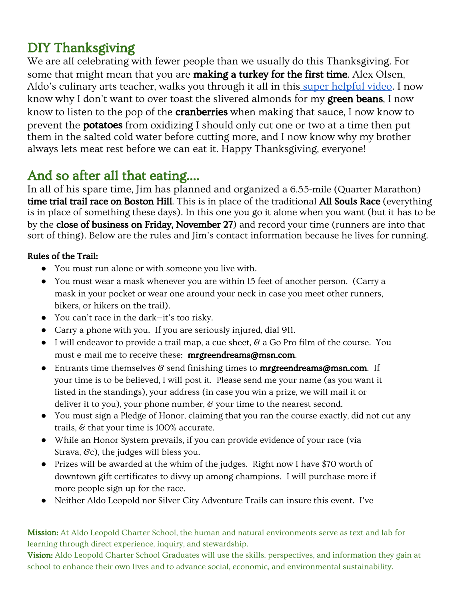## DIY Thanksgiving

We are all celebrating with fewer people than we usually do this Thanksgiving. For some that might mean that you are **making a turkey for the first time**. Alex Olsen, Aldo's culinary arts teacher, walks you through it all in this super [helpful](https://www.youtube.com/watch?v=VzsxCMM0DaM&feature=youtu.be) video. I now know why I don't want to over toast the slivered almonds for my **green beans**, I now know to listen to the pop of the **cranberries** when making that sauce, I now know to prevent the potatoes from oxidizing I should only cut one or two at a time then put them in the salted cold water before cutting more, and I now know why my brother always lets meat rest before we can eat it. Happy Thanksgiving, everyone!

# And so after all that eating....

In all of his spare time, Jim has planned and organized a 6.55-mile (Quarter Marathon) time trial trail race on Boston Hill. This is in place of the traditional All Souls Race (everything is in place of something these days). In this one you go it alone when you want (but it has to be by the **close of business on Friday, November 27**) and record your time (runners are into that sort of thing). Below are the rules and Jim's contact information because he lives for running.

#### Rules of the Trail:

- You must run alone or with someone you live with.
- You must wear a mask whenever you are within 15 feet of another person. (Carry a mask in your pocket or wear one around your neck in case you meet other runners, bikers, or hikers on the trail).
- You can't race in the dark—it's too risky.
- Carry a phone with you. If you are seriously injured, dial 911.
- $\bullet$  I will endeavor to provide a trail map, a cue sheet,  $\mathscr G$  a Go Pro film of the course. You must e-mail me to receive these: mrgreendreams@msn.com.
- **•** Entrants time themselves  $\mathcal{C}$  send finishing times to **mrgreendreams@msn.com**. If your time is to be believed, I will post it. Please send me your name (as you want it listed in the standings), your address (in case you win a prize, we will mail it or deliver it to you), your phone number,  $\mathcal C$  your time to the nearest second.
- You must sign a Pledge of Honor, claiming that you ran the course exactly, did not cut any trails,  $\&$  that your time is 100% accurate.
- While an Honor System prevails, if you can provide evidence of your race (via Strava,  $\mathcal{C}c$ ), the judges will bless you.
- Prizes will be awarded at the whim of the judges. Right now I have \$70 worth of downtown gift certificates to divvy up among champions. I will purchase more if more people sign up for the race.
- Neither Aldo Leopold nor Silver City Adventure Trails can insure this event. I've

Mission: At Aldo Leopold Charter School, the human and natural environments serve as text and lab for learning through direct experience, inquiry, and stewardship.

Vision: Aldo Leopold Charter School Graduates will use the skills, perspectives, and information they gain at school to enhance their own lives and to advance social, economic, and environmental sustainability.